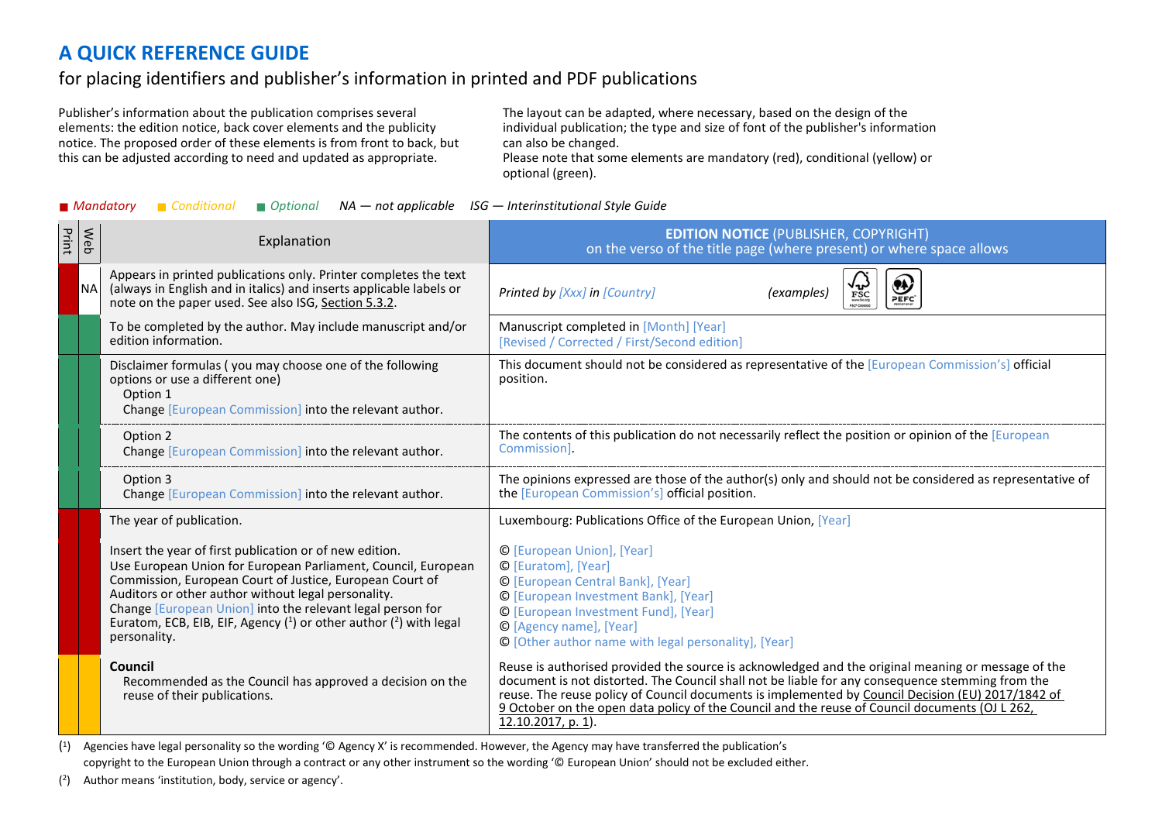## **A QUICK REFERENCE GUIDE**

## for placing identifiers and publisher's information in printed and PDF publications

Publisher's information about the publication comprises several elements: the edition notice, back cover elements and the publicity notice. The proposed order of these elements is from front to back, but this can be adjusted according to need and updated as appropriate.

The layout can be adapted, where necessary, based on the design of the individual publication; the type and size of font of the publisher's information can also be changed.

Please note that some elements are mandatory (red), conditional (yellow) or optional (green).

|  |  |  |  | ■ Mandatory ■ Conditional ■ Optional NA — not applicable ISG — Interinstitutional Style Guide |
|--|--|--|--|-----------------------------------------------------------------------------------------------|
|--|--|--|--|-----------------------------------------------------------------------------------------------|

| Print | Web       | Explanation                                                                                                                                                                                                                                                                                                                                                                                        | <b>EDITION NOTICE (PUBLISHER, COPYRIGHT)</b><br>on the verso of the title page (where present) or where space allows                                                                                                                                                                                                                                                                                                                |
|-------|-----------|----------------------------------------------------------------------------------------------------------------------------------------------------------------------------------------------------------------------------------------------------------------------------------------------------------------------------------------------------------------------------------------------------|-------------------------------------------------------------------------------------------------------------------------------------------------------------------------------------------------------------------------------------------------------------------------------------------------------------------------------------------------------------------------------------------------------------------------------------|
|       | <b>NA</b> | Appears in printed publications only. Printer completes the text<br>(always in English and in italics) and inserts applicable labels or<br>note on the paper used. See also ISG, Section 5.3.2.                                                                                                                                                                                                    | Printed by [Xxx] in [Country]<br>(examples)<br>$\mathop{\mathrm{FSC}}\limits_{\scriptscriptstyle\mathrm{max} \atop \scriptscriptstyle\mathrm{max} \atop \scriptscriptstyle\mathrm{max} \atop \scriptscriptstyle\mathrm{max}}$<br><b>PEFC</b>                                                                                                                                                                                        |
|       |           | To be completed by the author. May include manuscript and/or<br>edition information.                                                                                                                                                                                                                                                                                                               | Manuscript completed in [Month] [Year]<br>[Revised / Corrected / First/Second edition]                                                                                                                                                                                                                                                                                                                                              |
|       |           | Disclaimer formulas (you may choose one of the following<br>options or use a different one)<br>Option 1<br>Change [European Commission] into the relevant author.                                                                                                                                                                                                                                  | This document should not be considered as representative of the [European Commission's] official<br>position.                                                                                                                                                                                                                                                                                                                       |
|       |           | Option 2<br>Change [European Commission] into the relevant author.                                                                                                                                                                                                                                                                                                                                 | The contents of this publication do not necessarily reflect the position or opinion of the [European<br>Commission].                                                                                                                                                                                                                                                                                                                |
|       |           | Option 3<br>Change [European Commission] into the relevant author.                                                                                                                                                                                                                                                                                                                                 | The opinions expressed are those of the author(s) only and should not be considered as representative of<br>the [European Commission's] official position.                                                                                                                                                                                                                                                                          |
|       |           | The year of publication.                                                                                                                                                                                                                                                                                                                                                                           | Luxembourg: Publications Office of the European Union, [Year]                                                                                                                                                                                                                                                                                                                                                                       |
|       |           | Insert the year of first publication or of new edition.<br>Use European Union for European Parliament, Council, European<br>Commission, European Court of Justice, European Court of<br>Auditors or other author without legal personality.<br>Change [European Union] into the relevant legal person for<br>Euratom, ECB, EIB, EIF, Agency $(1)$ or other author $(2)$ with legal<br>personality. | © [European Union], [Year]<br>© [Euratom], [Year]<br>© [European Central Bank], [Year]<br>© [European Investment Bank], [Year]<br>© [European Investment Fund], [Year]<br>© [Agency name], [Year]<br>© [Other author name with legal personality], [Year]                                                                                                                                                                           |
|       |           | Council<br>Recommended as the Council has approved a decision on the<br>reuse of their publications.                                                                                                                                                                                                                                                                                               | Reuse is authorised provided the source is acknowledged and the original meaning or message of the<br>document is not distorted. The Council shall not be liable for any consequence stemming from the<br>reuse. The reuse policy of Council documents is implemented by Council Decision (EU) 2017/1842 of<br>9 October on the open data policy of the Council and the reuse of Council documents (OJ L 262,<br>12.10.2017, p. 1). |

(1) Agencies have legal personality so the wording '© Agency X' is recommended. However, the Agency may have transferred the publication's copyright to the European Union through a contract or any other instrument so the wording '© European Union' should not be excluded either.

(2) Author means 'institution, body, service or agency'.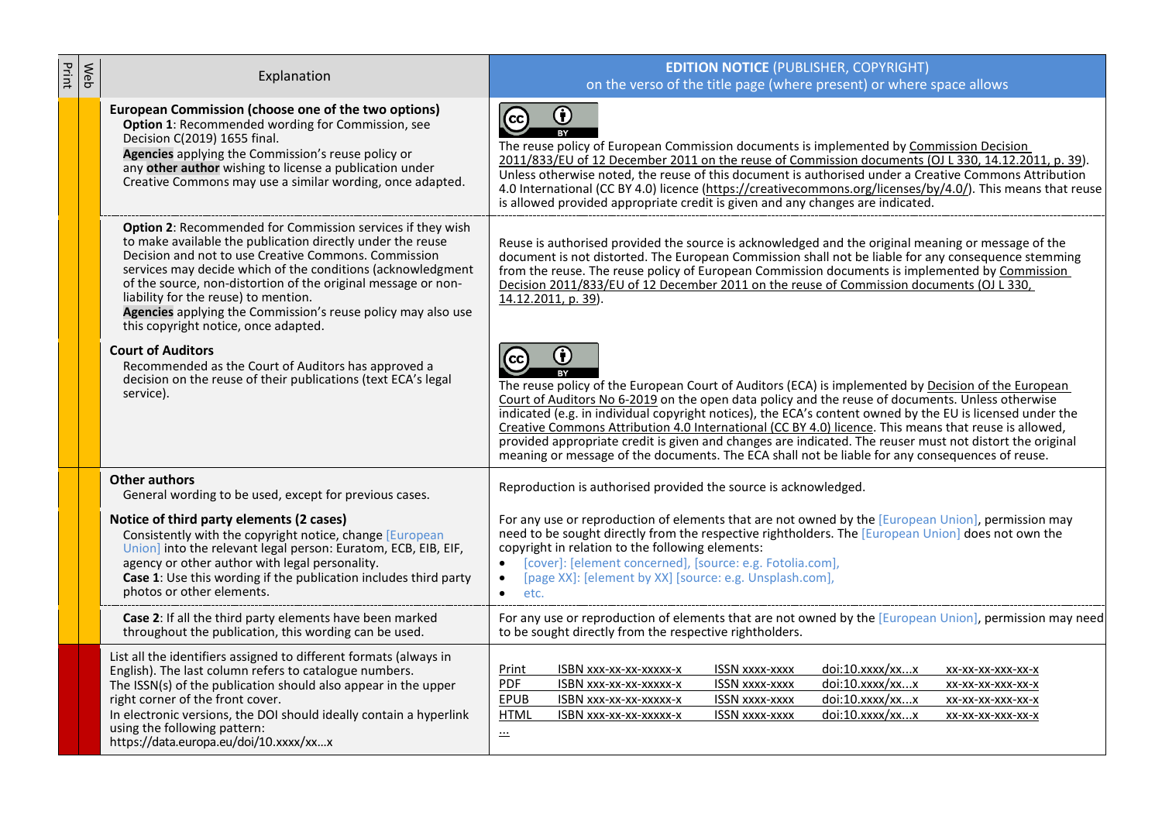| Print | Web | Explanation                                                                                                                                                                                                                                                                                                                                                                                                                                                      | <b>EDITION NOTICE (PUBLISHER, COPYRIGHT)</b><br>on the verso of the title page (where present) or where space allows                                                                                                                                                                                                                                                                                                                                                                                                                                                                                                                                         |
|-------|-----|------------------------------------------------------------------------------------------------------------------------------------------------------------------------------------------------------------------------------------------------------------------------------------------------------------------------------------------------------------------------------------------------------------------------------------------------------------------|--------------------------------------------------------------------------------------------------------------------------------------------------------------------------------------------------------------------------------------------------------------------------------------------------------------------------------------------------------------------------------------------------------------------------------------------------------------------------------------------------------------------------------------------------------------------------------------------------------------------------------------------------------------|
|       |     | European Commission (choose one of the two options)<br>Option 1: Recommended wording for Commission, see<br>Decision C(2019) 1655 final.<br>Agencies applying the Commission's reuse policy or<br>any other author wishing to license a publication under<br>Creative Commons may use a similar wording, once adapted.                                                                                                                                           | $\bigcirc$<br>$\odot$<br>The reuse policy of European Commission documents is implemented by Commission Decision<br>2011/833/EU of 12 December 2011 on the reuse of Commission documents (OJ L 330, 14.12.2011, p. 39).<br>Unless otherwise noted, the reuse of this document is authorised under a Creative Commons Attribution<br>4.0 International (CC BY 4.0) licence (https://creativecommons.org/licenses/by/4.0/). This means that reuse<br>is allowed provided appropriate credit is given and any changes are indicated.                                                                                                                            |
|       |     | Option 2: Recommended for Commission services if they wish<br>to make available the publication directly under the reuse<br>Decision and not to use Creative Commons, Commission<br>services may decide which of the conditions (acknowledgment<br>of the source, non-distortion of the original message or non-<br>liability for the reuse) to mention.<br>Agencies applying the Commission's reuse policy may also use<br>this copyright notice, once adapted. | Reuse is authorised provided the source is acknowledged and the original meaning or message of the<br>document is not distorted. The European Commission shall not be liable for any consequence stemming<br>from the reuse. The reuse policy of European Commission documents is implemented by Commission<br>Decision 2011/833/EU of 12 December 2011 on the reuse of Commission documents (OJ L 330,<br>14.12.2011, p. 39).                                                                                                                                                                                                                               |
|       |     | <b>Court of Auditors</b><br>Recommended as the Court of Auditors has approved a<br>decision on the reuse of their publications (text ECA's legal<br>service).                                                                                                                                                                                                                                                                                                    | 0<br>$\odot$<br>The reuse policy of the European Court of Auditors (ECA) is implemented by Decision of the European<br>Court of Auditors No 6-2019 on the open data policy and the reuse of documents. Unless otherwise<br>indicated (e.g. in individual copyright notices), the ECA's content owned by the EU is licensed under the<br>Creative Commons Attribution 4.0 International (CC BY 4.0) licence. This means that reuse is allowed,<br>provided appropriate credit is given and changes are indicated. The reuser must not distort the original<br>meaning or message of the documents. The ECA shall not be liable for any consequences of reuse. |
|       |     | <b>Other authors</b><br>General wording to be used, except for previous cases.                                                                                                                                                                                                                                                                                                                                                                                   | Reproduction is authorised provided the source is acknowledged.                                                                                                                                                                                                                                                                                                                                                                                                                                                                                                                                                                                              |
|       |     | Notice of third party elements (2 cases)<br>Consistently with the copyright notice, change [European<br>Union] into the relevant legal person: Euratom, ECB, EIB, EIF,<br>agency or other author with legal personality.<br>Case 1: Use this wording if the publication includes third party<br>photos or other elements.                                                                                                                                        | For any use or reproduction of elements that are not owned by the [European Union], permission may<br>need to be sought directly from the respective rightholders. The [European Union] does not own the<br>copyright in relation to the following elements:<br>[cover]: [element concerned], [source: e.g. Fotolia.com],<br>$\bullet$<br>[page XX]: [element by XX] [source: e.g. Unsplash.com],<br>etc.<br>$\bullet$                                                                                                                                                                                                                                       |
|       |     | Case 2: If all the third party elements have been marked<br>throughout the publication, this wording can be used.                                                                                                                                                                                                                                                                                                                                                | For any use or reproduction of elements that are not owned by the [European Union], permission may need<br>to be sought directly from the respective rightholders.                                                                                                                                                                                                                                                                                                                                                                                                                                                                                           |
|       |     | List all the identifiers assigned to different formats (always in<br>English). The last column refers to catalogue numbers.<br>The ISSN(s) of the publication should also appear in the upper<br>right corner of the front cover.<br>In electronic versions, the DOI should ideally contain a hyperlink<br>using the following pattern:<br>https://data.europa.eu/doi/10.xxxx/xxx                                                                                | doi:10.xxxx/xxx<br>Print<br>ISBN xxx-xx-xx-xxxxx-x<br><b>ISSN XXXX-XXXX</b><br>XX-XX-XX-XXX-XX-X<br><b>PDF</b><br><b>ISSN xxxx-xxxx</b><br>doi:10.xxxx/xxx<br>ISBN xxx-xx-xx-xxxxx-x<br>XX-XX-XX-XXX-XX-X<br>doi:10.xxxx/xxx<br>EPUB<br>ISBN xxx-xx-xx-xxxxx-x<br><b>ISSN xxxx-xxxx</b><br>XX-XX-XX-XXX-XX-X<br>ISBN xxx-xx-xx-xxxxx-x<br><b>ISSN xxxx-xxxx</b><br>doi:10.xxxx/xxx<br><b>HTML</b><br>XX-XX-XX-XXX-XX-X<br>$\cdot$                                                                                                                                                                                                                            |